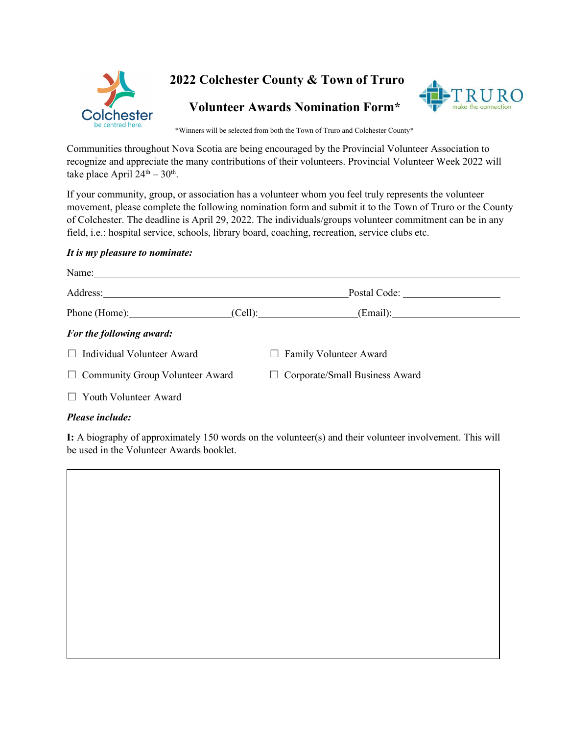



\*Winners will be selected from both the Town of Truro and Colchester County\*

Communities throughout Nova Scotia are being encouraged by the Provincial Volunteer Association to recognize and appreciate the many contributions of their volunteers. Provincial Volunteer Week 2022 will take place April  $24^{\text{th}} - 30^{\text{th}}$ .

If your community, group, or association has a volunteer whom you feel truly represents the volunteer movement, please complete the following nomination form and submit it to the Town of Truro or the County of Colchester. The deadline is April 29, 2022. The individuals/groups volunteer commitment can be in any field, i.e.: hospital service, schools, library board, coaching, recreation, service clubs etc.

## *It is my pleasure to nominate:*

|                                        | (Email):<br>(Cell):                   |
|----------------------------------------|---------------------------------------|
| For the following award:               |                                       |
| $\Box$ Individual Volunteer Award      | $\Box$ Family Volunteer Award         |
| $\Box$ Community Group Volunteer Award | $\Box$ Corporate/Small Business Award |
| $\Box$ Youth Volunteer Award           |                                       |
|                                        |                                       |

## *Please include:*

**I:** A biography of approximately 150 words on the volunteer(s) and their volunteer involvement. This will be used in the Volunteer Awards booklet.